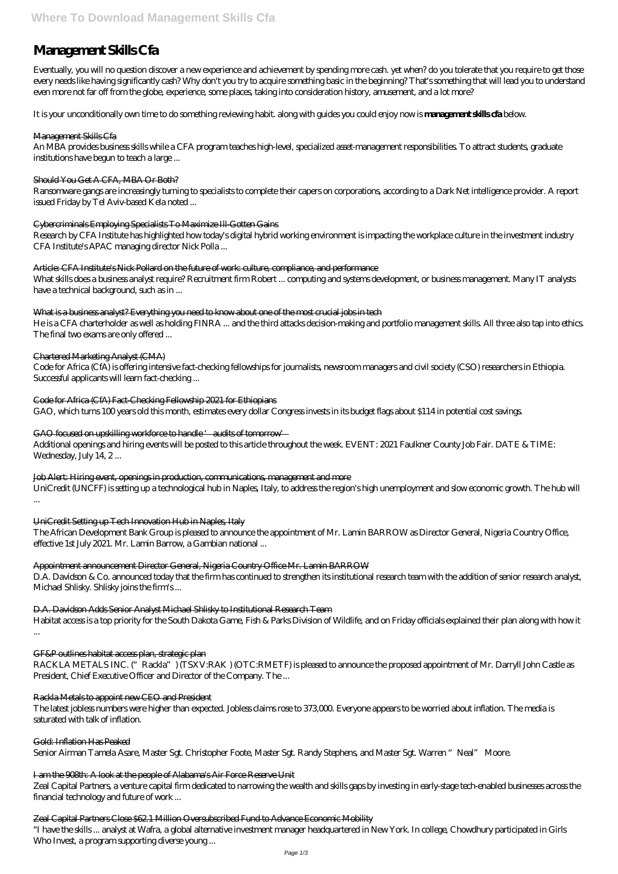# **Management Skills Cfa**

Eventually, you will no question discover a new experience and achievement by spending more cash. yet when? do you tolerate that you require to get those every needs like having significantly cash? Why don't you try to acquire something basic in the beginning? That's something that will lead you to understand even more not far off from the globe, experience, some places, taking into consideration history, amusement, and a lot more?

It is your unconditionally own time to do something reviewing habit. along with guides you could enjoy now is **management skills cfa** below.

#### Management Skills Cfa

An MBA provides business skills while a CFA program teaches high-level, specialized asset-management responsibilities. To attract students, graduate institutions have begun to teach a large ...

Article: CFA Institute's Nick Pollard on the future of work culture, compliance, and performance What skills does a business analyst require? Recruitment firm Robert ... computing and systems development, or business management. Many IT analysts have a technical background, such as in ...

### What is a business analyst? Everything you need to know about one of the most crucial jobs in tech

#### Should You Get A CFA, MBA Or Both?

Ransomware gangs are increasingly turning to specialists to complete their capers on corporations, according to a Dark Net intelligence provider. A report issued Friday by Tel Aviv-based Kela noted ...

#### Cybercriminals Employing Specialists To Maximize Ill-Gotten Gains

Additional openings and hiring events will be posted to this article throughout the week. EVENT: 2021 Faulkner County Job Fair. DATE & TIME: Wednesday, July 14, 2...

Research by CFA Institute has highlighted how today's digital hybrid working environment is impacting the workplace culture in the investment industry CFA Institute's APAC managing director Nick Polla ...

He is a CFA charterholder as well as holding FINRA ... and the third attacks decision-making and portfolio management skills. All three also tap into ethics. The final two exams are only offered ...

RACKLA METALS INC. ("Rackla") (TSXV:RAK) (OTC:RMETF) is pleased to announce the proposed appointment of Mr. Darryll John Castle as President, Chief Executive Officer and Director of the Company. The ...

#### Chartered Marketing Analyst (CMA)

Code for Africa (CfA) is offering intensive fact-checking fellowships for journalists, newsroom managers and civil society (CSO) researchers in Ethiopia. Successful applicants will learn fact-checking ...

Code for Africa (CfA) Fact-Checking Fellowship 2021 for Ethiopians

GAO, which turns 100 years old this month, estimates every dollar Congress invests in its budget flags about \$114 in potential cost savings.

### GAO focused on upskilling workforce to handle 'audits of tomorrow'

### Job Alert: Hiring event, openings in production, communications, management and more

UniCredit (UNCFF) is setting up a technological hub in Naples, Italy, to address the region's high unemployment and slow economic growth. The hub will ...

UniCredit Setting up Tech Innovation Hub in Naples, Italy

The African Development Bank Group is pleased to announce the appointment of Mr. Lamin BARROW as Director General, Nigeria Country Office, effective 1st July 2021. Mr. Lamin Barrow, a Gambian national ...

### Appointment announcement Director General, Nigeria Country Office Mr. Lamin BARROW

D.A. Davidson & Co. announced today that the firm has continued to strengthen its institutional research team with the addition of senior research analyst, Michael Shlisky. Shlisky joins the firm's ...

D.A. Davidson Adds Senior Analyst Michael Shlisky to Institutional Research Team

Habitat access is a top priority for the South Dakota Game, Fish & Parks Division of Wildlife, and on Friday officials explained their plan along with how it

...

#### Rackla Metals to appoint new CEO and President

The latest jobless numbers were higher than expected. Jobless claims rose to 373,000. Everyone appears to be worried about inflation. The media is saturated with talk of inflation.

Gold: Inflation Has Peaked

Senior Airman Tamela Asare, Master Sgt. Christopher Foote, Master Sgt. Randy Stephens, and Master Sgt. Warren "Neal" Moore.

I am the 908th: A look at the people of Alabama's Air Force Reserve Unit Zeal Capital Partners, a venture capital firm dedicated to narrowing the wealth and skills gaps by investing in early-stage tech-enabled businesses across the financial technology and future of work ...

#### Zeal Capital Partners Close \$62.1 Million Oversubscribed Fund to Advance Economic Mobility

"I have the skills ... analyst at Wafra, a global alternative investment manager headquartered in New York. In college, Chowdhury participated in Girls Who Invest, a program supporting diverse young ...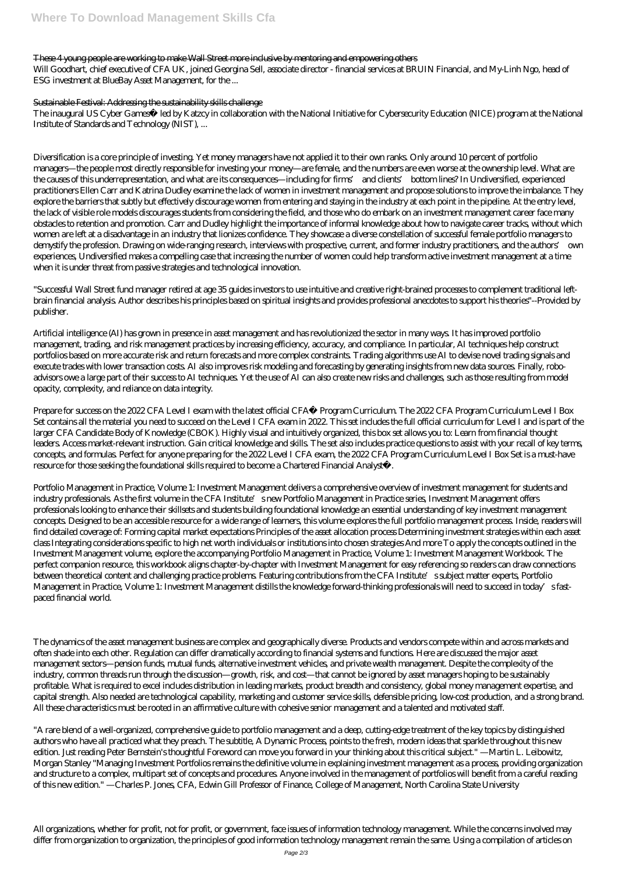## These 4 young people are working to make Wall Street more inclusive by mentoring and empowering others

Will Goodhart, chief executive of CFA UK, joined Georgina Sell, associate director - financial services at BRUIN Financial, and My-Linh Ngo, head of ESG investment at BlueBay Asset Management, for the ...

The inaugural US Cyber Games™ led by Katzcy in collaboration with the National Initiative for Cybersecurity Education (NICE) program at the National Institute of Standards and Technology (NIST), ...

#### Sustainable Festival: Addressing the sustainability skills challenge

Diversification is a core principle of investing. Yet money managers have not applied it to their own ranks. Only around 10 percent of portfolio managers—the people most directly responsible for investing your money—are female, and the numbers are even worse at the ownership level. What are the causes of this underrepresentation, and what are its consequences—including for firms' and clients' bottom lines? In Undiversified, experienced practitioners Ellen Carr and Katrina Dudley examine the lack of women in investment management and propose solutions to improve the imbalance. They explore the barriers that subtly but effectively discourage women from entering and staying in the industry at each point in the pipeline. At the entry level, the lack of visible role models discourages students from considering the field, and those who do embark on an investment management career face many obstacles to retention and promotion. Carr and Dudley highlight the importance of informal knowledge about how to navigate career tracks, without which women are left at a disadvantage in an industry that lionizes confidence. They showcase a diverse constellation of successful female portfolio managers to demystify the profession. Drawing on wide-ranging research, interviews with prospective, current, and former industry practitioners, and the authors' own experiences, Undiversified makes a compelling case that increasing the number of women could help transform active investment management at a time when it is under threat from passive strategies and technological innovation.

"Successful Wall Street fund manager retired at age 35 guides investors to use intuitive and creative right-brained processes to complement traditional leftbrain financial analysis. Author describes his principles based on spiritual insights and provides professional anecdotes to support his theories"--Provided by publisher.

Artificial intelligence (AI) has grown in presence in asset management and has revolutionized the sector in many ways. It has improved portfolio management, trading, and risk management practices by increasing efficiency, accuracy, and compliance. In particular, AI techniques help construct portfolios based on more accurate risk and return forecasts and more complex constraints. Trading algorithms use AI to devise novel trading signals and execute trades with lower transaction costs. AI also improves risk modeling and forecasting by generating insights from new data sources. Finally, roboadvisors owe a large part of their success to AI techniques. Yet the use of AI can also create new risks and challenges, such as those resulting from model opacity, complexity, and reliance on data integrity.

Prepare for success on the 2022 CFA Level I exam with the latest official CFA® Program Curriculum. The 2022 CFA Program Curriculum Level I Box Set contains all the material you need to succeed on the Level I CFA exam in 2022. This set includes the full official curriculum for Level I and is part of the larger CFA Candidate Body of Knowledge (CBOK). Highly visual and intuitively organized, this box set allows you to: Learn from financial thought leaders. Access market-relevant instruction. Gain critical knowledge and skills. The set also includes practice questions to assist with your recall of key terms, concepts, and formulas. Perfect for anyone preparing for the 2022 Level I CFA exam, the 2022 CFA Program Curriculum Level I Box Set is a must-have resource for those seeking the foundational skills required to become a Chartered Financial Analyst®.

Portfolio Management in Practice, Volume 1: Investment Management delivers a comprehensive overview of investment management for students and industry professionals. As the first volume in the CFA Institute's new Portfolio Management in Practice series, Investment Management offers professionals looking to enhance their skillsets and students building foundational knowledge an essential understanding of key investment management concepts. Designed to be an accessible resource for a wide range of learners, this volume explores the full portfolio management process. Inside, readers will find detailed coverage of: Forming capital market expectations Principles of the asset allocation process Determining investment strategies within each asset class Integrating considerations specific to high net worth individuals or institutions into chosen strategies And more To apply the concepts outlined in the Investment Management volume, explore the accompanying Portfolio Management in Practice, Volume 1: Investment Management Workbook. The perfect companion resource, this workbook aligns chapter-by-chapter with Investment Management for easy referencing so readers can draw connections between theoretical content and challenging practice problems. Featuring contributions from the CFA Institute's subject matter experts, Portfolio Management in Practice, Volume 1: Investment Management distills the knowledge forward-thinking professionals will need to succeed in today's fastpaced financial world.

The dynamics of the asset management business are complex and geographically diverse. Products and vendors compete within and across markets and often shade into each other. Regulation can differ dramatically according to financial systems and functions. Here are discussed the major asset

management sectors—pension funds, mutual funds, alternative investment vehicles, and private wealth management. Despite the complexity of the industry, common threads run through the discussion—growth, risk, and cost—that cannot be ignored by asset managers hoping to be sustainably profitable. What is required to excel includes distribution in leading markets, product breadth and consistency, global money management expertise, and capital strength. Also needed are technological capability, marketing and customer service skills, defensible pricing, low-cost production, and a strong brand. All these characteristics must be rooted in an affirmative culture with cohesive senior management and a talented and motivated staff.

"A rare blend of a well-organized, comprehensive guide to portfolio management and a deep, cutting-edge treatment of the key topics by distinguished authors who have all practiced what they preach. The subtitle, A Dynamic Process, points to the fresh, modern ideas that sparkle throughout this new edition. Just reading Peter Bernstein's thoughtful Foreword can move you forward in your thinking about this critical subject." —Martin L. Leibowitz, Morgan Stanley "Managing Investment Portfolios remains the definitive volume in explaining investment management as a process, providing organization and structure to a complex, multipart set of concepts and procedures. Anyone involved in the management of portfolios will benefit from a careful reading of this new edition." —Charles P. Jones, CFA, Edwin Gill Professor of Finance, College of Management, North Carolina State University

All organizations, whether for profit, not for profit, or government, face issues of information technology management. While the concerns involved may differ from organization to organization, the principles of good information technology management remain the same. Using a compilation of articles on